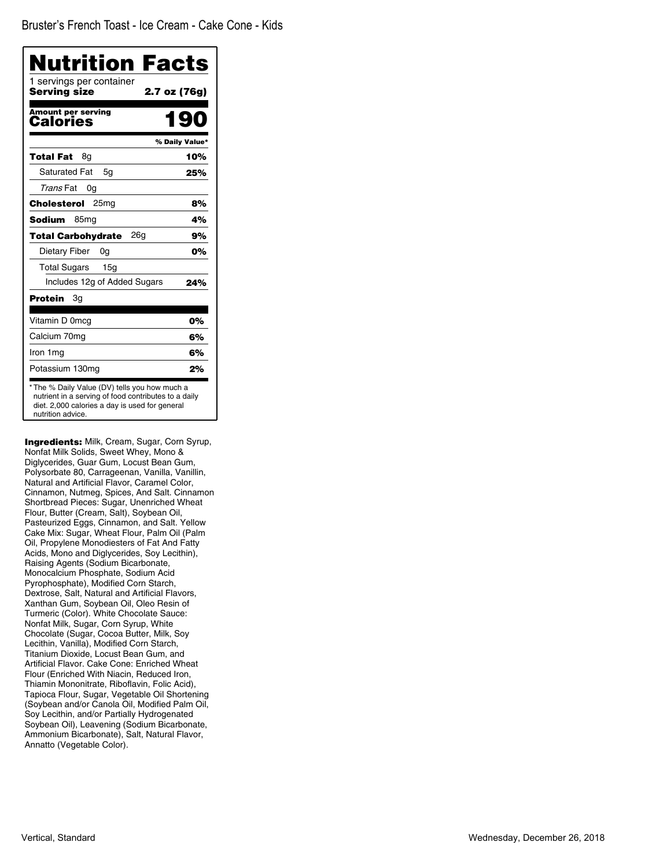| 1 servings per container<br>Servina size | 2.7 oz (76g)   |
|------------------------------------------|----------------|
| <b>Amount per serving</b><br>Calories    | 190            |
|                                          | % Daily Value* |
| Total Fat<br>8g                          | 10%            |
| <b>Saturated Fat</b><br>5g               | 25%            |
| Trans Fat<br>0g                          |                |
| 25 <sub>mg</sub><br>Cholesterol          | 8%             |
| Sodium<br>85 <sub>mg</sub>               | 4%             |
| 26a<br><b>Total Carbohydrate</b>         | 9%             |
| Dietary Fiber<br>0g                      | 0%             |
| <b>Total Sugars</b><br>15g               |                |
| Includes 12g of Added Sugars             | 24%            |
| 3g<br>Protein                            |                |
| Vitamin D 0mcg                           | 0%             |
| Calcium 70mg                             | 6%             |
| Iron 1mg                                 | 6%             |
| Potassium 130mg                          | 2%             |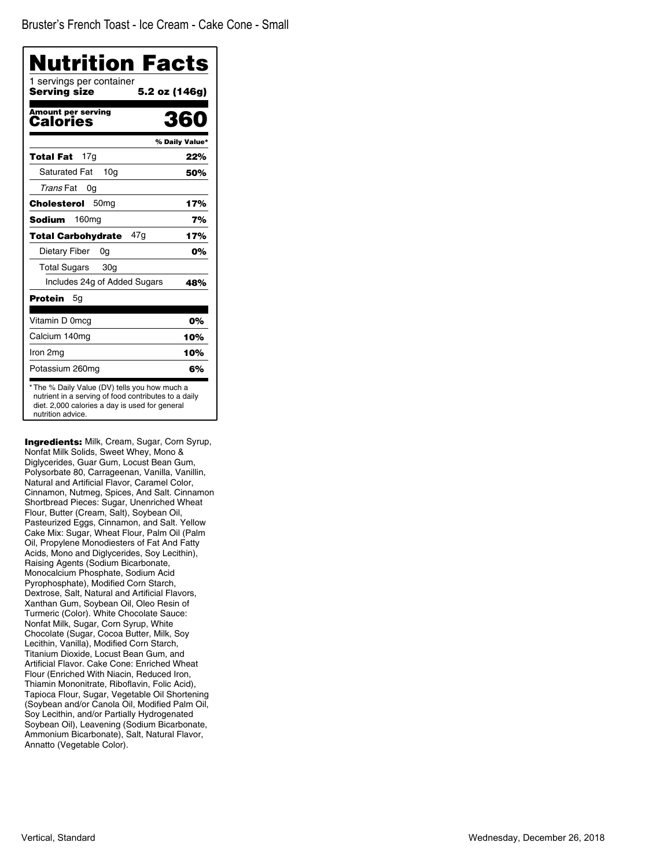| 1 servings per container<br>Servina size | 5.2 oz (146g)  |
|------------------------------------------|----------------|
| <b>Amount per serving</b><br>Calories    | 360            |
|                                          | % Daily Value* |
| 17q<br>Total Fat                         | 22%            |
| <b>Saturated Fat</b><br>10 <sub>q</sub>  | 50%            |
| Trans Fat<br>0g                          |                |
| 50 <sub>mg</sub><br>Cholesterol          | 17%            |
| 160 <sub>mg</sub><br>Sodium              | 7%             |
| 47a<br><b>Total Carbohydrate</b>         | 17%            |
| Dietary Fiber<br>0g                      | 0%             |
| <b>Total Sugars</b><br>30 <sub>q</sub>   |                |
| Includes 24g of Added Sugars             | 48%            |
| Protein<br>5g                            |                |
| Vitamin D 0mcg                           | 0%             |
| Calcium 140mg                            | 10%            |
| Iron 2mg                                 | 10%            |
| Potassium 260mg                          | 6%             |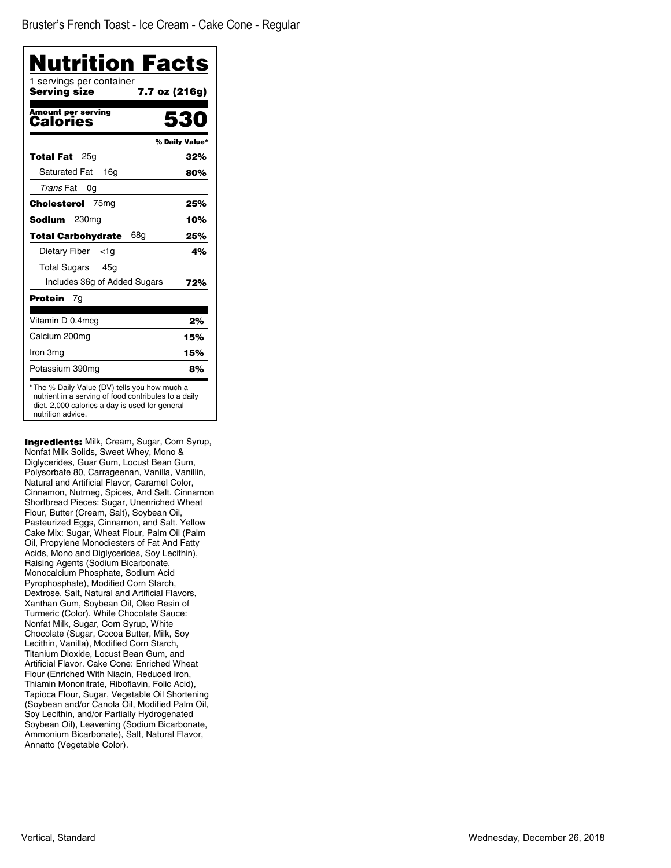| 1 servings per container<br>Servina size | 7.7 oz (216g)  |
|------------------------------------------|----------------|
| <b>Amount per serving</b><br>Calories    | 530            |
|                                          | % Daily Value* |
| 25a<br>Total Fat                         | 32%            |
| <b>Saturated Fat</b><br>16q              | 80%            |
| Trans Fat<br>0g                          |                |
| 75 <sub>mg</sub><br>Cholesterol          | 25%            |
| 230 <sub>mg</sub><br>Sodium              | 10%            |
| 68a<br><b>Total Carbohydrate</b>         | 25%            |
| Dietary Fiber<br><1a                     | 4%             |
| <b>Total Sugars</b><br>45g               |                |
| Includes 36g of Added Sugars             | 72%            |
| Protein<br>7g                            |                |
| Vitamin D 0.4mcg                         | 2%             |
| Calcium 200mg                            | 15%            |
| Iron 3mg                                 | 15%            |
| Potassium 390mg                          | 8%             |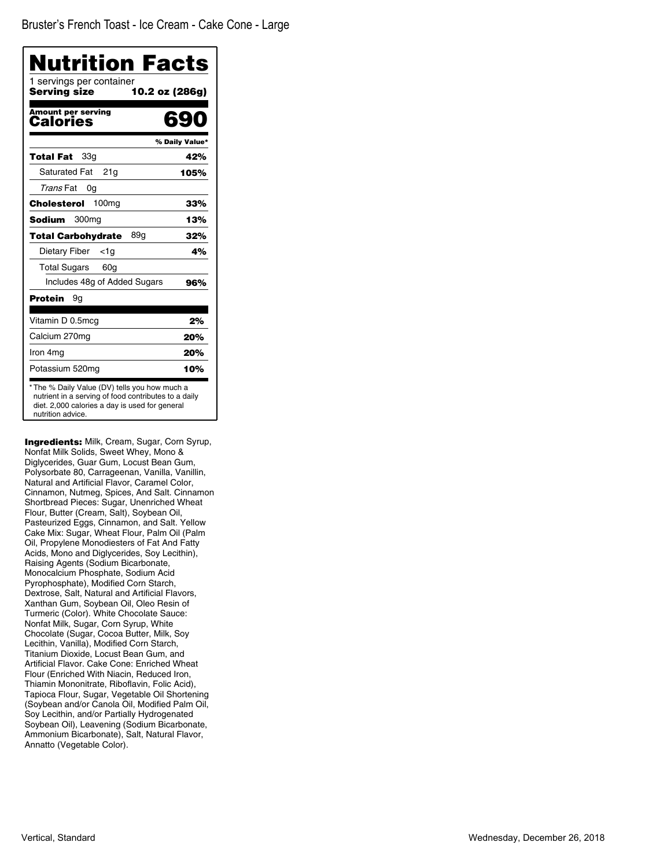| <b>Serving size</b>                          | 10.2 oz (286g) |
|----------------------------------------------|----------------|
| <b>Amount per serving</b><br><b>Calories</b> | 69             |
|                                              | % Daily Value* |
| 33g<br><b>Total Fat</b>                      | 42%            |
| <b>Saturated Fat</b><br>21g                  | 105%           |
| Trans Fat<br>0g                              |                |
| <b>Cholesterol</b> 100mg                     | 33%            |
| Sodium<br>300 <sub>mg</sub>                  | 13%            |
| 89g<br><b>Total Carbohydrate</b>             | 32%            |
| Dietary Fiber<br><1a                         | 4%             |
| Total Sugars<br>60g                          |                |
| Includes 48g of Added Sugars                 | 96%            |
| Protein<br>9g                                |                |
| Vitamin D 0.5mcg                             | 2%             |
| Calcium 270mg                                | 20%            |
| Iron 4mg                                     | 20%            |
| Potassium 520mg                              | 10%            |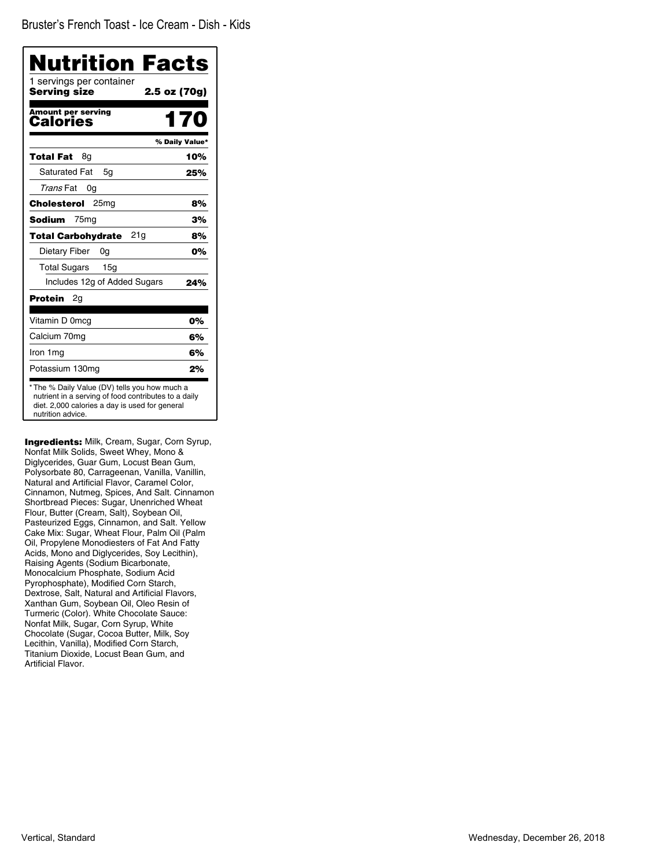Bruster's French Toast - Ice Cream - Dish - Kids

| 1 servings per container<br>Serving size | 2.5 oz (70g)   |
|------------------------------------------|----------------|
| <b>Amount per serving</b><br>Calories    | 170            |
|                                          | % Daily Value* |
| 8g<br>Total Fat                          | 10%            |
| <b>Saturated Fat</b><br>5q               | 25%            |
| Trans Fat<br>0g                          |                |
| 25 <sub>mg</sub><br>Cholesterol          | 8%             |
| 75 <sub>mg</sub><br>Sodium               | 3%             |
| 21g<br><b>Total Carbohydrate</b>         | 8%             |
| Dietary Fiber<br>0g                      | 0%             |
| <b>Total Sugars</b><br>15g               |                |
| Includes 12g of Added Sugars             | 24%            |
| Protein<br>2g                            |                |
| Vitamin D 0mcg                           | 0%             |
| Calcium 70mg                             | 6%             |
| Iron 1mg                                 | 6%             |
| Potassium 130mg                          | 2%             |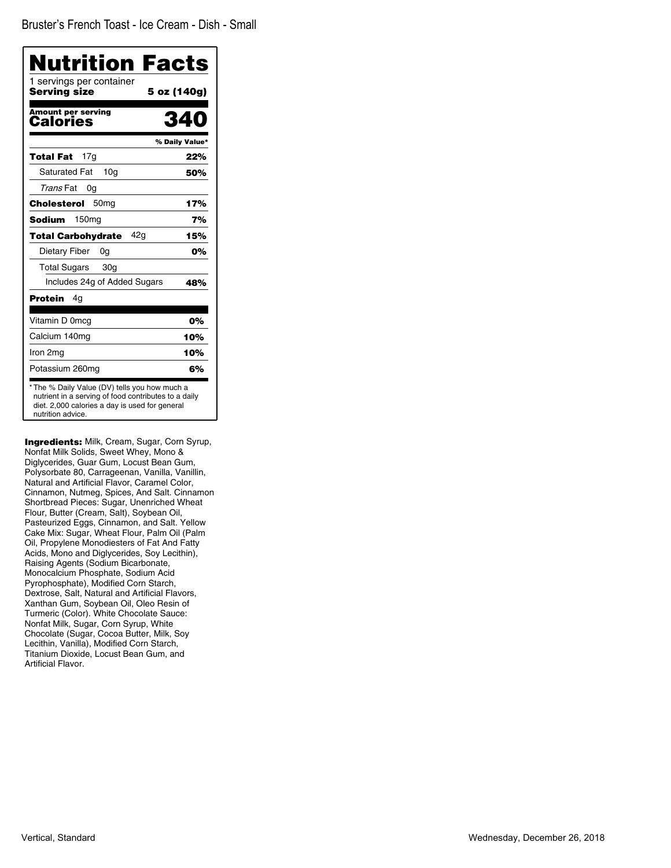| Nutrition Facts<br>1 servings per container |                |
|---------------------------------------------|----------------|
| Serving size                                | 5 oz (140g)    |
| <b>Amount per serving</b><br>Calories       |                |
|                                             | % Daily Value* |
| 17g<br>Total Fat                            | 22%            |
| <b>Saturated Fat</b><br>10 <sub>a</sub>     | 50%            |
| Trans Fat<br>0g                             |                |
| Cholesterol<br>50 <sub>mg</sub>             | 17%            |
| Sodium<br>150mg                             | 7%             |
| 42g<br><b>Total Carbohydrate</b>            | 15%            |
| Dietary Fiber<br>0g                         | 0%             |
| <b>Total Sugars</b><br>30 <sub>q</sub>      |                |
| Includes 24g of Added Sugars                | 48%            |
| <b>Protein</b><br>4g                        |                |
| Vitamin D 0mcg                              | 0%             |
| Calcium 140mg                               | 10%            |
| Iron 2mg                                    | 10%            |
| Potassium 260mg                             | 6%             |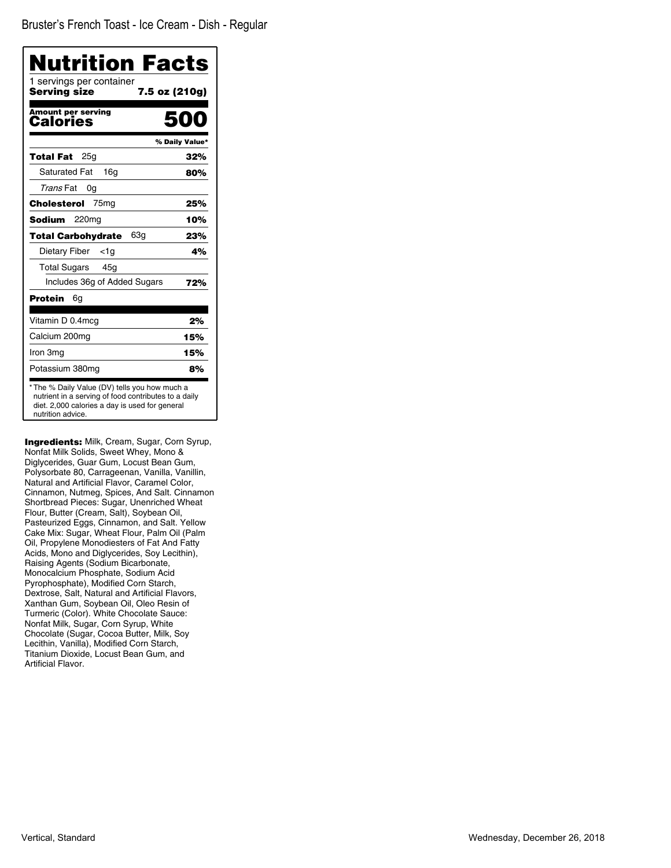Bruster's French Toast - Ice Cream - Dish - Regular

| Nutrition Facts<br>1 servings per container<br>Serving size | 7.5 oz (210g)  |
|-------------------------------------------------------------|----------------|
|                                                             |                |
| <b>Amount per serving</b><br>Calories                       |                |
|                                                             | % Daily Value* |
| 25g<br>Total Fat                                            | 32%            |
| <b>Saturated Fat</b><br>16q                                 | 80%            |
| Trans Fat<br>0g                                             |                |
| Cholesterol<br>75 <sub>mg</sub>                             | 25%            |
| Sodium<br>220 <sub>mq</sub>                                 | 10%            |
| 63g<br><b>Total Carbohydrate</b>                            | 23%            |
| Dietary Fiber<br>$<$ 1g                                     | 4%             |
| Total Sugars<br>45q                                         |                |
| Includes 36g of Added Sugars                                | 72%            |
| Protein<br>6g                                               |                |
| Vitamin D 0.4mcg                                            | 2%             |
| Calcium 200mg                                               | 15%            |
| Iron 3mg                                                    | 15%            |
| Potassium 380mg                                             | 8%             |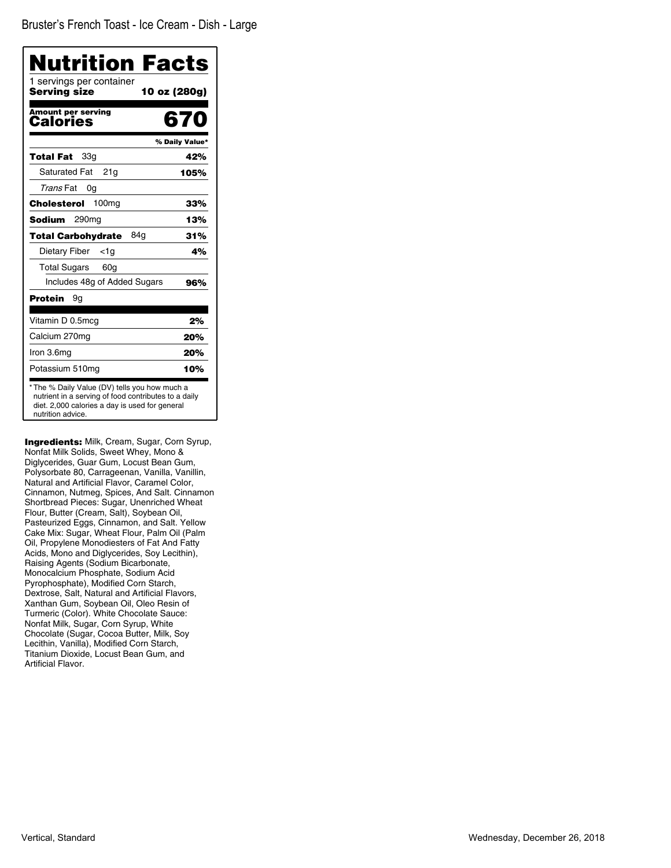| Nutrition Facts                          |                |
|------------------------------------------|----------------|
| 1 servings per container<br>Serving size | 10 oz (280g)   |
| <b>Amount per serving</b><br>Calories    | 670            |
|                                          | % Daily Value* |
| 33g<br>Total Fat                         | 42%            |
| <b>Saturated Fat</b><br>21g              | 105%           |
| Trans Fat<br>0g                          |                |
| 100 <sub>mg</sub><br>Cholesterol         | 33%            |
| Sodium<br>290mg                          | 13%            |
| 84a<br><b>Total Carbohydrate</b>         | 31%            |
| Dietary Fiber<br><1a                     | 4%             |
| <b>Total Sugars</b><br>60g               |                |
| Includes 48g of Added Sugars             | 96%            |
| Protein<br>9g                            |                |
| Vitamin D 0.5mcg                         | 2%             |
| Calcium 270mg                            | 20%            |
| Iron 3.6mg                               | 20%            |
| Potassium 510mg                          | 10%            |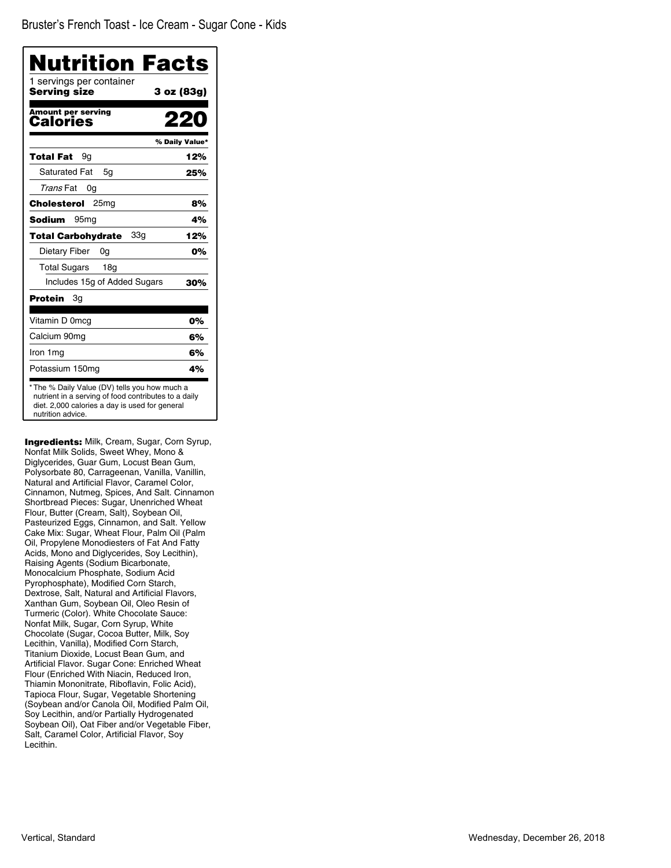| 1 servings per container<br>Serving size | 3 oz (83g)     |
|------------------------------------------|----------------|
| <b>Amount per serving</b><br>Calories    |                |
|                                          | % Daily Value* |
| Total Fat<br>9g                          | 12%            |
| <b>Saturated Fat</b><br>5g               | 25%            |
| Trans Fat<br>0g                          |                |
| Cholesterol<br>25 <sub>mq</sub>          | 8%             |
| Sodium<br>95 <sub>mq</sub>               | 4%             |
| 33g<br><b>Total Carbohydrate</b>         | 12%            |
| Dietary Fiber<br>0g                      | 0%             |
| <b>Total Sugars</b><br>18 <sub>q</sub>   |                |
| Includes 15g of Added Sugars             | 30%            |
| Protein<br>Зg                            |                |
| Vitamin D 0mcg                           | 0%             |
| Calcium 90mg                             | 6%             |
| Iron 1mg                                 | 6%             |
| Potassium 150mg                          | 4%             |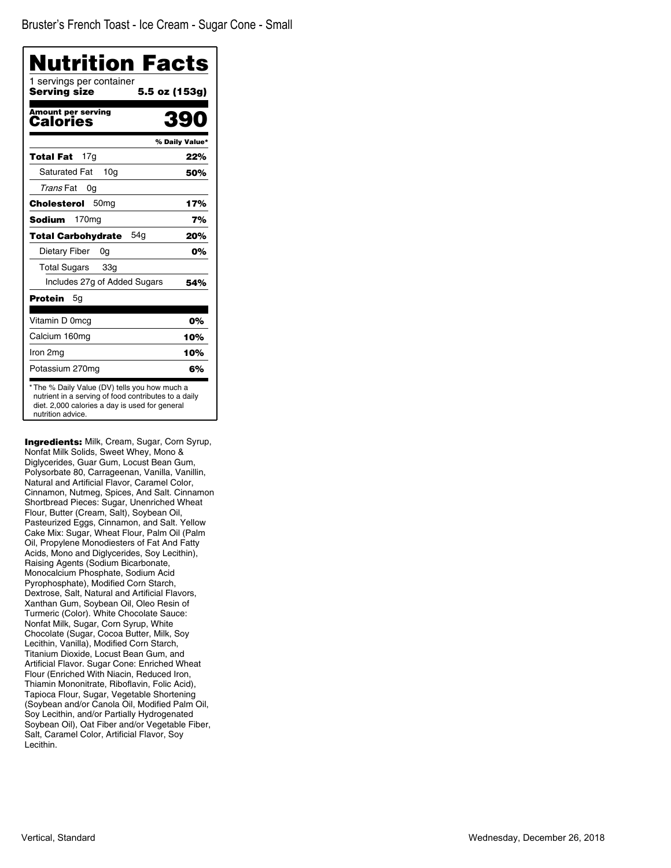| 1 servings per container<br>Servina size | 5.5 oz (153g)  |
|------------------------------------------|----------------|
| <b>Amount per serving</b><br>Calories    | 39             |
|                                          | % Daily Value* |
| 17g<br>Total Fat                         | 22%            |
| <b>Saturated Fat</b><br>10 <sub>a</sub>  | 50%            |
| Trans Fat<br>0g                          |                |
| 50 <sub>mq</sub><br>Cholesterol          | 17%            |
| 170 <sub>mg</sub><br>Sodium              | 7%             |
| 54a<br><b>Total Carbohydrate</b>         | 20%            |
| Dietary Fiber<br>0g                      | 0%             |
| <b>Total Sugars</b><br>33 <sub>q</sub>   |                |
| Includes 27g of Added Sugars             | 54%            |
| Protein<br>5g                            |                |
| Vitamin D 0mcg                           | 0%             |
| Calcium 160mg                            | 10%            |
| Iron 2mg                                 | 10%            |
| Potassium 270mg                          | 6%             |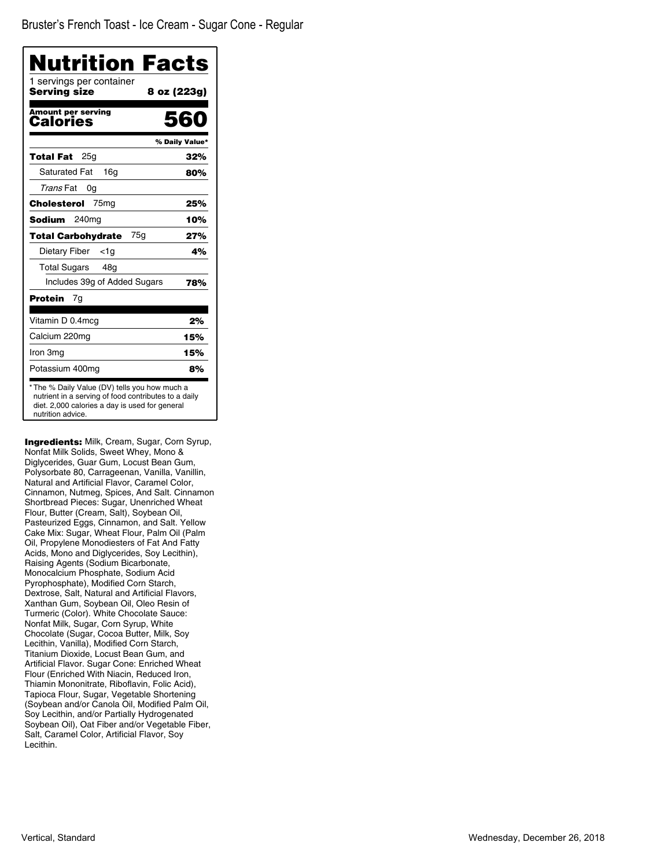| 1 servings per container<br>Serving size | 8 oz (223g)    |
|------------------------------------------|----------------|
| <b>Amount per serving</b><br>Calories    | 560            |
|                                          | % Daily Value* |
| 25a<br>Total Fat                         | 32%            |
| <b>Saturated Fat</b><br>16 <sub>q</sub>  | 80%            |
| Trans Fat<br>0g                          |                |
| Cholesterol<br>75 <sub>mg</sub>          | 25%            |
| 240 <sub>mg</sub><br>Sodium              | 10%            |
| 75a<br><b>Total Carbohydrate</b>         | 27%            |
| Dietary Fiber<br><1g                     | 4%             |
| <b>Total Sugars</b><br>48g               |                |
| Includes 39g of Added Sugars             | 78%            |
| Protein<br>7g                            |                |
| Vitamin D 0.4mcg                         | 2%             |
| Calcium 220mg                            | 15%            |
| Iron 3mg                                 | 15%            |
| Potassium 400mg                          | 8%             |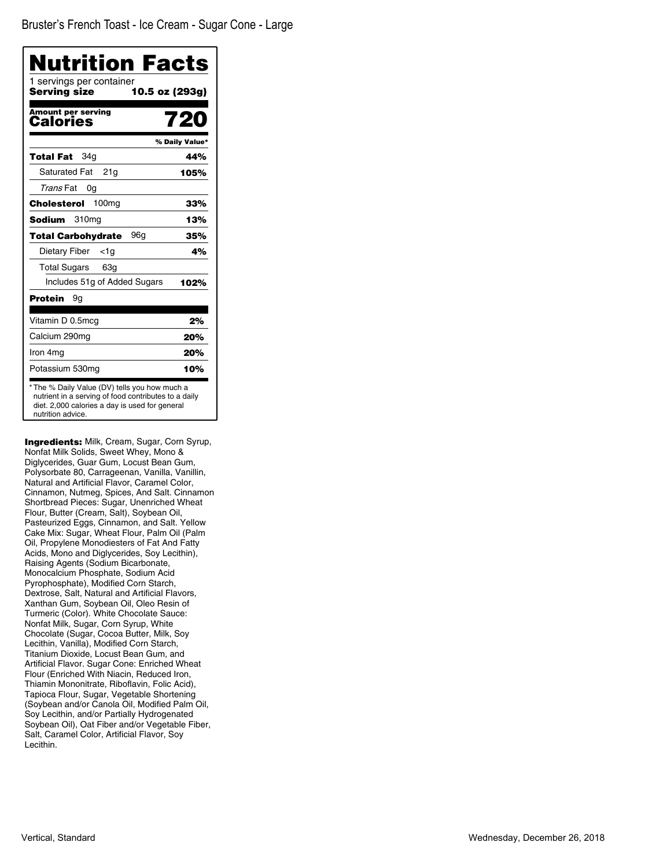| 1 servings per container<br>Serving size     | 10.5 oz (293g) |
|----------------------------------------------|----------------|
| <b>Amount per serving</b><br><b>Calories</b> | 720            |
|                                              | % Daily Value* |
| 34a<br>Total Fat                             | 44%            |
| <b>Saturated Fat</b><br>21a                  | 105%           |
| Trans Fat<br>0g                              |                |
| Cholesterol<br>100 <sub>mg</sub>             | 33%            |
| Sodium<br>310mg                              | 13%            |
| 96a<br><b>Total Carbohydrate</b>             | 35%            |
| Dietary Fiber<br><1a                         | 4%             |
| Total Sugars<br>63g                          |                |
| Includes 51g of Added Sugars                 | 102%           |
| Protein<br>9g                                |                |
| Vitamin D 0.5mcg                             | 2%             |
| Calcium 290mg                                | 20%            |
| Iron 4mg                                     | 20%            |
| Potassium 530mg                              | 10%            |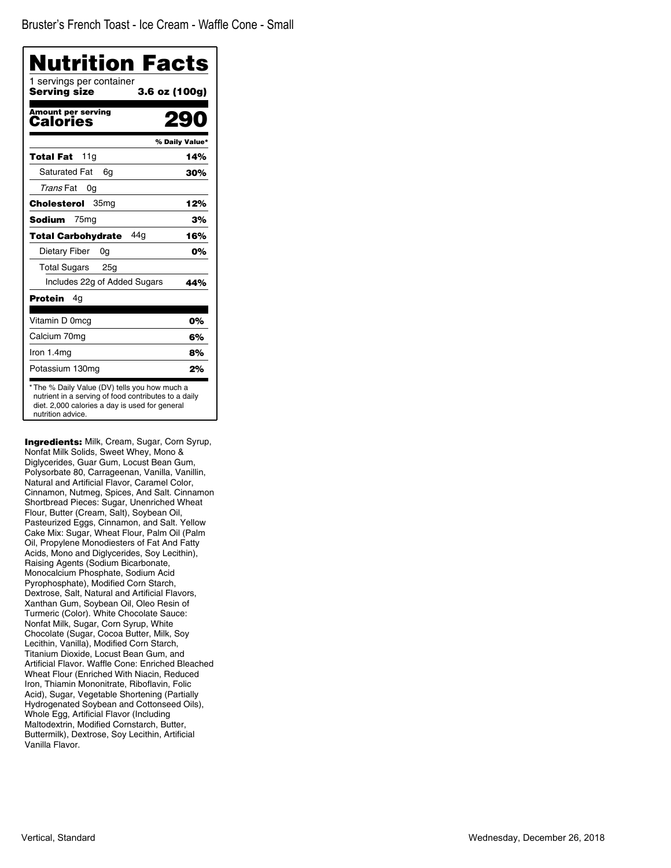| 1 servings per container<br>Serving size<br>3.6 oz (100g) |                |
|-----------------------------------------------------------|----------------|
| Amount per serving<br>Calories                            | $\mathbf{S}$   |
|                                                           | % Daily Value* |
| 11g<br>Total Fat                                          | 14%            |
| <b>Saturated Fat</b><br>6q                                | 30%            |
| Trans Fat<br>0g                                           |                |
| Cholesterol<br>35 <sub>mg</sub>                           | 12%            |
| 75 <sub>mg</sub><br>Sodium                                | 3%             |
| 44a<br><b>Total Carbohydrate</b>                          | 16%            |
| Dietary Fiber<br>0g                                       | 0%             |
| <b>Total Sugars</b><br>25g                                |                |
| Includes 22g of Added Sugars                              | 44%            |
| Protein<br>4q                                             |                |
| Vitamin D 0mcg                                            | 0%             |
| Calcium 70mg                                              | 6%             |
| Iron $1.4mg$                                              | 8%             |
| Potassium 130mg                                           | 2%             |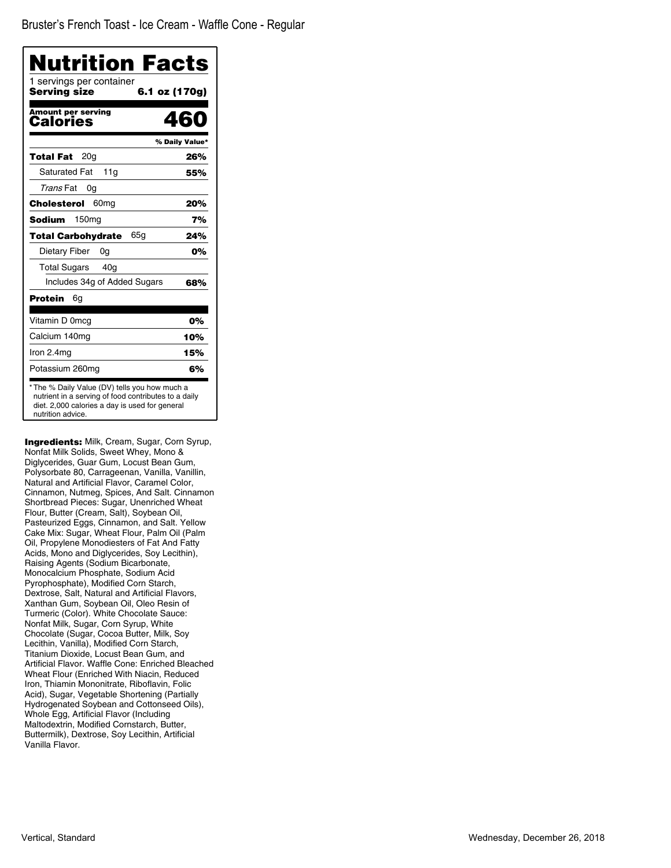| 1 servings per container<br>Servina size | 6.1 oz (170g)  |
|------------------------------------------|----------------|
| <b>Amount per serving</b><br>Calories    | 460            |
|                                          | % Daily Value* |
| 20 <sub>q</sub><br>Total Fat             | 26%            |
| <b>Saturated Fat</b><br>11a              | 55%            |
| Trans Fat<br>0g                          |                |
| 60 <sub>mq</sub><br>Cholesterol          | 20%            |
| Sodium<br>150mg                          | 7%             |
| 65a<br><b>Total Carbohydrate</b>         | 24%            |
| Dietary Fiber<br>0g                      | 0%             |
| <b>Total Sugars</b><br>40 <sub>q</sub>   |                |
| Includes 34g of Added Sugars             | 68%            |
| Protein<br>6g                            |                |
| Vitamin D 0mcg                           | 0%             |
| Calcium 140mg                            | 10%            |
| Iron $2.4mg$                             | 15%            |
| Potassium 260mg                          | 6%             |